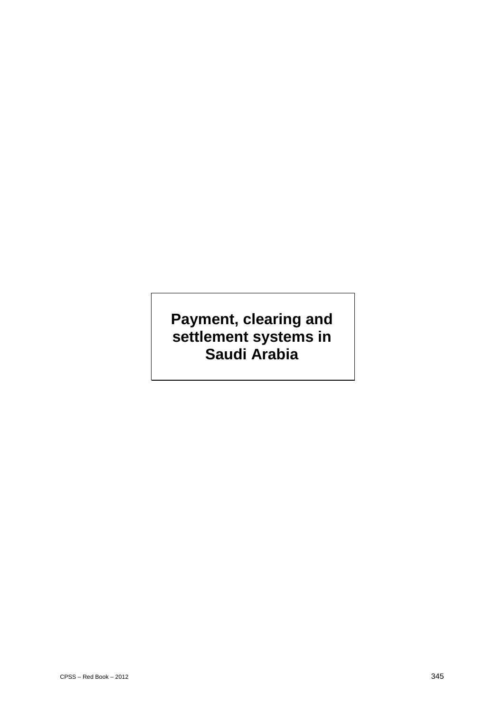# **Payment, clearing and settlement systems in Saudi Arabia**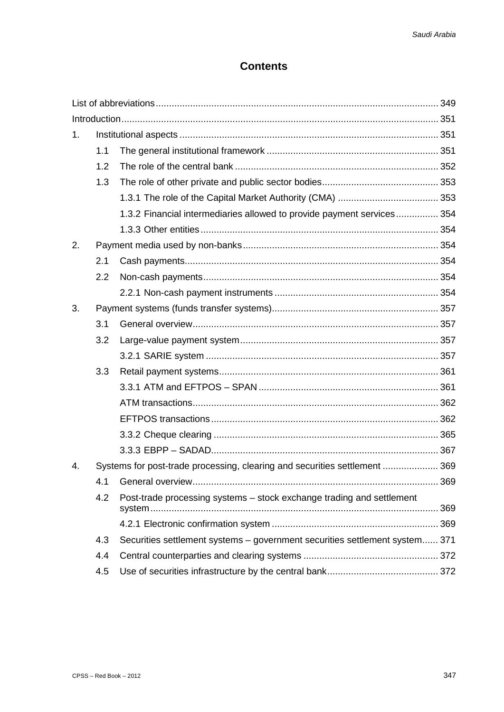## **Contents**

| 1. |                                                                            |                                                                             |  |
|----|----------------------------------------------------------------------------|-----------------------------------------------------------------------------|--|
|    | 1.1                                                                        |                                                                             |  |
|    | 1.2                                                                        |                                                                             |  |
|    | 1.3                                                                        |                                                                             |  |
|    |                                                                            |                                                                             |  |
|    |                                                                            | 1.3.2 Financial intermediaries allowed to provide payment services 354      |  |
|    |                                                                            |                                                                             |  |
| 2. |                                                                            |                                                                             |  |
|    | 2.1                                                                        |                                                                             |  |
|    | 2.2                                                                        |                                                                             |  |
|    |                                                                            |                                                                             |  |
| 3. |                                                                            |                                                                             |  |
|    | 3.1                                                                        |                                                                             |  |
|    | 3.2                                                                        |                                                                             |  |
|    |                                                                            |                                                                             |  |
|    | 3.3                                                                        |                                                                             |  |
|    |                                                                            |                                                                             |  |
|    |                                                                            |                                                                             |  |
|    |                                                                            |                                                                             |  |
|    |                                                                            |                                                                             |  |
|    |                                                                            |                                                                             |  |
| 4. | Systems for post-trade processing, clearing and securities settlement  369 |                                                                             |  |
|    | 4.1                                                                        |                                                                             |  |
|    | 4.2                                                                        | Post-trade processing systems - stock exchange trading and settlement       |  |
|    |                                                                            |                                                                             |  |
|    | 4.3                                                                        | Securities settlement systems - government securities settlement system 371 |  |
|    | 4.4                                                                        |                                                                             |  |
|    | 4.5                                                                        |                                                                             |  |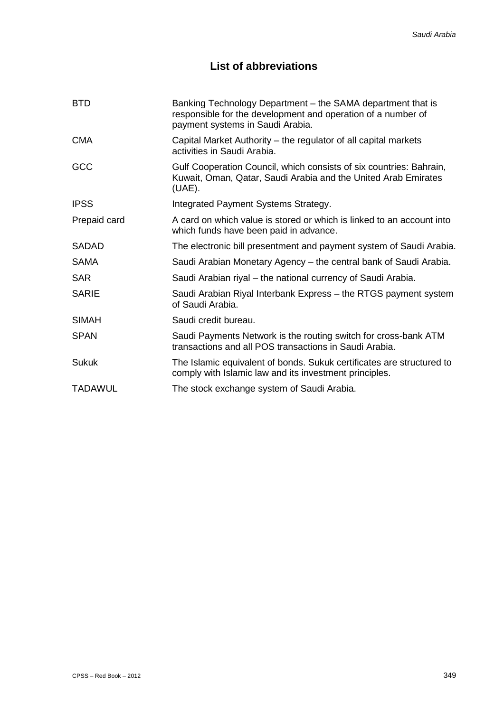## **List of abbreviations**

| <b>BTD</b>     | Banking Technology Department – the SAMA department that is<br>responsible for the development and operation of a number of<br>payment systems in Saudi Arabia. |
|----------------|-----------------------------------------------------------------------------------------------------------------------------------------------------------------|
| <b>CMA</b>     | Capital Market Authority – the regulator of all capital markets<br>activities in Saudi Arabia.                                                                  |
| GCC            | Gulf Cooperation Council, which consists of six countries: Bahrain,<br>Kuwait, Oman, Qatar, Saudi Arabia and the United Arab Emirates<br>$(UAE)$ .              |
| <b>IPSS</b>    | Integrated Payment Systems Strategy.                                                                                                                            |
| Prepaid card   | A card on which value is stored or which is linked to an account into<br>which funds have been paid in advance.                                                 |
| <b>SADAD</b>   | The electronic bill presentment and payment system of Saudi Arabia.                                                                                             |
| <b>SAMA</b>    | Saudi Arabian Monetary Agency – the central bank of Saudi Arabia.                                                                                               |
| <b>SAR</b>     | Saudi Arabian riyal – the national currency of Saudi Arabia.                                                                                                    |
| <b>SARIE</b>   | Saudi Arabian Riyal Interbank Express - the RTGS payment system<br>of Saudi Arabia.                                                                             |
| <b>SIMAH</b>   | Saudi credit bureau.                                                                                                                                            |
| <b>SPAN</b>    | Saudi Payments Network is the routing switch for cross-bank ATM<br>transactions and all POS transactions in Saudi Arabia.                                       |
| Sukuk          | The Islamic equivalent of bonds. Sukuk certificates are structured to<br>comply with Islamic law and its investment principles.                                 |
| <b>TADAWUL</b> | The stock exchange system of Saudi Arabia.                                                                                                                      |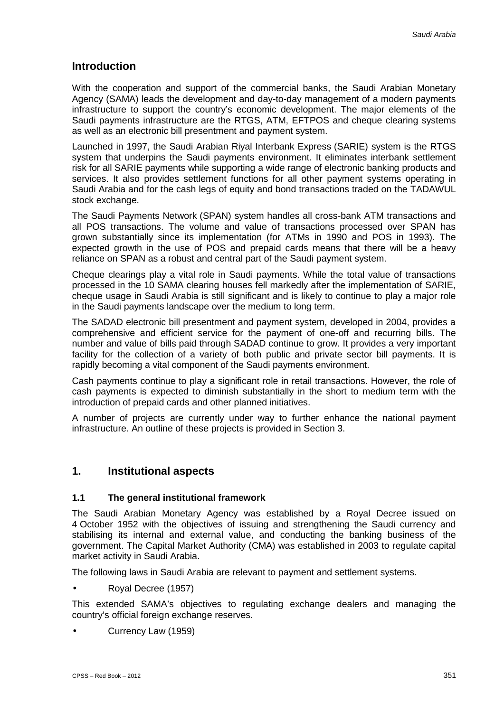## **Introduction**

With the cooperation and support of the commercial banks, the Saudi Arabian Monetary Agency (SAMA) leads the development and day-to-day management of a modern payments infrastructure to support the country's economic development. The major elements of the Saudi payments infrastructure are the RTGS, ATM, EFTPOS and cheque clearing systems as well as an electronic bill presentment and payment system.

Launched in 1997, the Saudi Arabian Riyal Interbank Express (SARIE) system is the RTGS system that underpins the Saudi payments environment. It eliminates interbank settlement risk for all SARIE payments while supporting a wide range of electronic banking products and services. It also provides settlement functions for all other payment systems operating in Saudi Arabia and for the cash legs of equity and bond transactions traded on the TADAWUL stock exchange.

The Saudi Payments Network (SPAN) system handles all cross-bank ATM transactions and all POS transactions. The volume and value of transactions processed over SPAN has grown substantially since its implementation (for ATMs in 1990 and POS in 1993). The expected growth in the use of POS and prepaid cards means that there will be a heavy reliance on SPAN as a robust and central part of the Saudi payment system.

Cheque clearings play a vital role in Saudi payments. While the total value of transactions processed in the 10 SAMA clearing houses fell markedly after the implementation of SARIE, cheque usage in Saudi Arabia is still significant and is likely to continue to play a major role in the Saudi payments landscape over the medium to long term.

The SADAD electronic bill presentment and payment system, developed in 2004, provides a comprehensive and efficient service for the payment of one-off and recurring bills. The number and value of bills paid through SADAD continue to grow. It provides a very important facility for the collection of a variety of both public and private sector bill payments. It is rapidly becoming a vital component of the Saudi payments environment.

Cash payments continue to play a significant role in retail transactions. However, the role of cash payments is expected to diminish substantially in the short to medium term with the introduction of prepaid cards and other planned initiatives.

A number of projects are currently under way to further enhance the national payment infrastructure. An outline of these projects is provided in Section 3.

## **1. Institutional aspects**

#### **1.1 The general institutional framework**

The Saudi Arabian Monetary Agency was established by a Royal Decree issued on 4 October 1952 with the objectives of issuing and strengthening the Saudi currency and stabilising its internal and external value, and conducting the banking business of the government. The Capital Market Authority (CMA) was established in 2003 to regulate capital market activity in Saudi Arabia.

The following laws in Saudi Arabia are relevant to payment and settlement systems.

Royal Decree (1957)

This extended SAMA's objectives to regulating exchange dealers and managing the country's official foreign exchange reserves.

Currency Law (1959)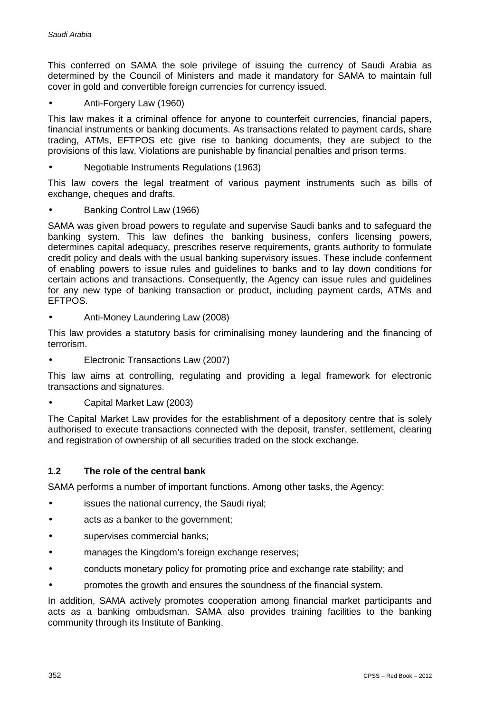This conferred on SAMA the sole privilege of issuing the currency of Saudi Arabia as determined by the Council of Ministers and made it mandatory for SAMA to maintain full cover in gold and convertible foreign currencies for currency issued.

Anti-Forgery Law (1960)

This law makes it a criminal offence for anyone to counterfeit currencies, financial papers, financial instruments or banking documents. As transactions related to payment cards, share trading, ATMs, EFTPOS etc give rise to banking documents, they are subject to the provisions of this law. Violations are punishable by financial penalties and prison terms.

Negotiable Instruments Regulations (1963)

This law covers the legal treatment of various payment instruments such as bills of exchange, cheques and drafts.

Banking Control Law (1966)

SAMA was given broad powers to regulate and supervise Saudi banks and to safeguard the banking system. This law defines the banking business, confers licensing powers, determines capital adequacy, prescribes reserve requirements, grants authority to formulate credit policy and deals with the usual banking supervisory issues. These include conferment of enabling powers to issue rules and guidelines to banks and to lay down conditions for certain actions and transactions. Consequently, the Agency can issue rules and guidelines for any new type of banking transaction or product, including payment cards, ATMs and EFTPOS.

Anti-Money Laundering Law (2008)

This law provides a statutory basis for criminalising money laundering and the financing of terrorism.

Electronic Transactions Law (2007)

This law aims at controlling, regulating and providing a legal framework for electronic transactions and signatures.

Capital Market Law (2003)

The Capital Market Law provides for the establishment of a depository centre that is solely authorised to execute transactions connected with the deposit, transfer, settlement, clearing and registration of ownership of all securities traded on the stock exchange.

#### **1.2 The role of the central bank**

SAMA performs a number of important functions. Among other tasks, the Agency:

- issues the national currency, the Saudi riyal;
- acts as a banker to the government;
- supervises commercial banks;
- manages the Kingdom's foreign exchange reserves;
- conducts monetary policy for promoting price and exchange rate stability; and
- promotes the growth and ensures the soundness of the financial system.

In addition, SAMA actively promotes cooperation among financial market participants and acts as a banking ombudsman. SAMA also provides training facilities to the banking community through its Institute of Banking.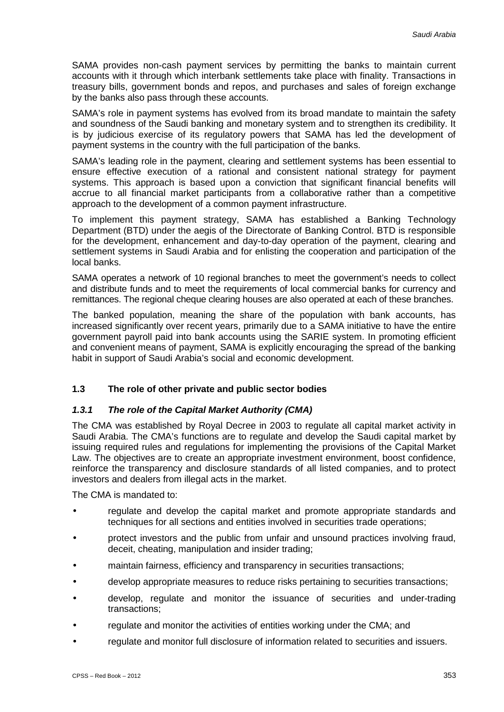SAMA provides non-cash payment services by permitting the banks to maintain current accounts with it through which interbank settlements take place with finality. Transactions in treasury bills, government bonds and repos, and purchases and sales of foreign exchange by the banks also pass through these accounts.

SAMA's role in payment systems has evolved from its broad mandate to maintain the safety and soundness of the Saudi banking and monetary system and to strengthen its credibility. It is by judicious exercise of its regulatory powers that SAMA has led the development of payment systems in the country with the full participation of the banks.

SAMA's leading role in the payment, clearing and settlement systems has been essential to ensure effective execution of a rational and consistent national strategy for payment systems. This approach is based upon a conviction that significant financial benefits will accrue to all financial market participants from a collaborative rather than a competitive approach to the development of a common payment infrastructure.

To implement this payment strategy, SAMA has established a Banking Technology Department (BTD) under the aegis of the Directorate of Banking Control. BTD is responsible for the development, enhancement and day-to-day operation of the payment, clearing and settlement systems in Saudi Arabia and for enlisting the cooperation and participation of the local banks.

SAMA operates a network of 10 regional branches to meet the government's needs to collect and distribute funds and to meet the requirements of local commercial banks for currency and remittances. The regional cheque clearing houses are also operated at each of these branches.

The banked population, meaning the share of the population with bank accounts, has increased significantly over recent years, primarily due to a SAMA initiative to have the entire government payroll paid into bank accounts using the SARIE system. In promoting efficient and convenient means of payment, SAMA is explicitly encouraging the spread of the banking habit in support of Saudi Arabia's social and economic development.

## **1.3 The role of other private and public sector bodies**

#### *1.3.1 The role of the Capital Market Authority (CMA)*

The CMA was established by Royal Decree in 2003 to regulate all capital market activity in Saudi Arabia. The CMA's functions are to regulate and develop the Saudi capital market by issuing required rules and regulations for implementing the provisions of the Capital Market Law. The objectives are to create an appropriate investment environment, boost confidence, reinforce the transparency and disclosure standards of all listed companies, and to protect investors and dealers from illegal acts in the market.

The CMA is mandated to:

- regulate and develop the capital market and promote appropriate standards and techniques for all sections and entities involved in securities trade operations;
- protect investors and the public from unfair and unsound practices involving fraud, deceit, cheating, manipulation and insider trading;
- maintain fairness, efficiency and transparency in securities transactions;
- develop appropriate measures to reduce risks pertaining to securities transactions;
- develop, regulate and monitor the issuance of securities and under-trading transactions;
- regulate and monitor the activities of entities working under the CMA; and
- regulate and monitor full disclosure of information related to securities and issuers.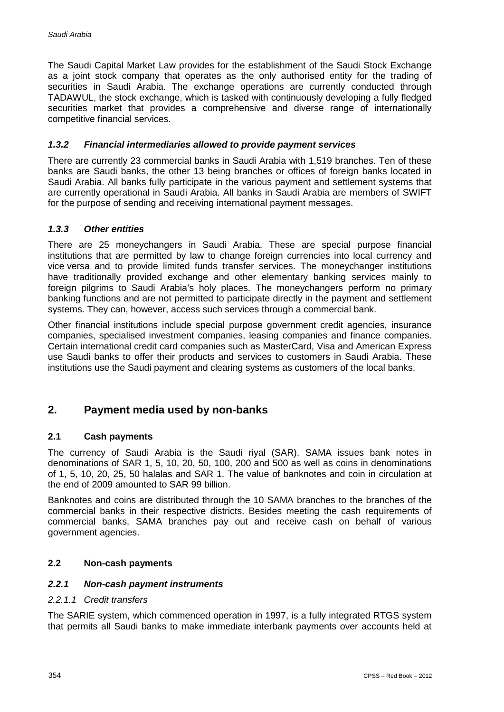The Saudi Capital Market Law provides for the establishment of the Saudi Stock Exchange as a joint stock company that operates as the only authorised entity for the trading of securities in Saudi Arabia. The exchange operations are currently conducted through TADAWUL, the stock exchange, which is tasked with continuously developing a fully fledged securities market that provides a comprehensive and diverse range of internationally competitive financial services.

#### *1.3.2 Financial intermediaries allowed to provide payment services*

There are currently 23 commercial banks in Saudi Arabia with 1,519 branches. Ten of these banks are Saudi banks, the other 13 being branches or offices of foreign banks located in Saudi Arabia. All banks fully participate in the various payment and settlement systems that are currently operational in Saudi Arabia. All banks in Saudi Arabia are members of SWIFT for the purpose of sending and receiving international payment messages.

#### *1.3.3 Other entities*

There are 25 moneychangers in Saudi Arabia. These are special purpose financial institutions that are permitted by law to change foreign currencies into local currency and vice versa and to provide limited funds transfer services. The moneychanger institutions have traditionally provided exchange and other elementary banking services mainly to foreign pilgrims to Saudi Arabia's holy places. The moneychangers perform no primary banking functions and are not permitted to participate directly in the payment and settlement systems. They can, however, access such services through a commercial bank.

Other financial institutions include special purpose government credit agencies, insurance companies, specialised investment companies, leasing companies and finance companies. Certain international credit card companies such as MasterCard, Visa and American Express use Saudi banks to offer their products and services to customers in Saudi Arabia. These institutions use the Saudi payment and clearing systems as customers of the local banks.

## **2. Payment media used by non-banks**

#### **2.1 Cash payments**

The currency of Saudi Arabia is the Saudi riyal (SAR). SAMA issues bank notes in denominations of SAR 1, 5, 10, 20, 50, 100, 200 and 500 as well as coins in denominations of 1, 5, 10, 20, 25, 50 halalas and SAR 1. The value of banknotes and coin in circulation at the end of 2009 amounted to SAR 99 billion.

Banknotes and coins are distributed through the 10 SAMA branches to the branches of the commercial banks in their respective districts. Besides meeting the cash requirements of commercial banks, SAMA branches pay out and receive cash on behalf of various government agencies.

#### **2.2 Non-cash payments**

#### *2.2.1 Non-cash payment instruments*

#### *2.2.1.1 Credit transfers*

The SARIE system, which commenced operation in 1997, is a fully integrated RTGS system that permits all Saudi banks to make immediate interbank payments over accounts held at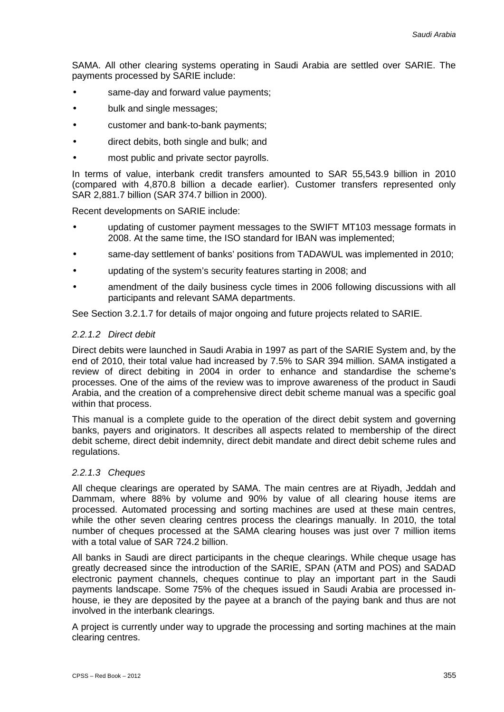SAMA. All other clearing systems operating in Saudi Arabia are settled over SARIE. The payments processed by SARIE include:

- same-day and forward value payments;
- bulk and single messages;
- customer and bank-to-bank payments;
- direct debits, both single and bulk; and
- most public and private sector payrolls.

In terms of value, interbank credit transfers amounted to SAR 55,543.9 billion in 2010 (compared with 4,870.8 billion a decade earlier). Customer transfers represented only SAR 2,881.7 billion (SAR 374.7 billion in 2000).

Recent developments on SARIE include:

- updating of customer payment messages to the SWIFT MT103 message formats in 2008. At the same time, the ISO standard for IBAN was implemented;
- same-day settlement of banks' positions from TADAWUL was implemented in 2010;
- updating of the system's security features starting in 2008; and
- amendment of the daily business cycle times in 2006 following discussions with all participants and relevant SAMA departments.

See Section 3.2.1.7 for details of major ongoing and future projects related to SARIE.

#### *2.2.1.2 Direct debit*

Direct debits were launched in Saudi Arabia in 1997 as part of the SARIE System and, by the end of 2010, their total value had increased by 7.5% to SAR 394 million. SAMA instigated a review of direct debiting in 2004 in order to enhance and standardise the scheme's processes. One of the aims of the review was to improve awareness of the product in Saudi Arabia, and the creation of a comprehensive direct debit scheme manual was a specific goal within that process.

This manual is a complete guide to the operation of the direct debit system and governing banks, payers and originators. It describes all aspects related to membership of the direct debit scheme, direct debit indemnity, direct debit mandate and direct debit scheme rules and regulations.

#### *2.2.1.3 Cheques*

All cheque clearings are operated by SAMA. The main centres are at Riyadh, Jeddah and Dammam, where 88% by volume and 90% by value of all clearing house items are processed. Automated processing and sorting machines are used at these main centres, while the other seven clearing centres process the clearings manually. In 2010, the total number of cheques processed at the SAMA clearing houses was just over 7 million items with a total value of SAR 724.2 billion.

All banks in Saudi are direct participants in the cheque clearings. While cheque usage has greatly decreased since the introduction of the SARIE, SPAN (ATM and POS) and SADAD electronic payment channels, cheques continue to play an important part in the Saudi payments landscape. Some 75% of the cheques issued in Saudi Arabia are processed inhouse, ie they are deposited by the payee at a branch of the paying bank and thus are not involved in the interbank clearings.

A project is currently under way to upgrade the processing and sorting machines at the main clearing centres.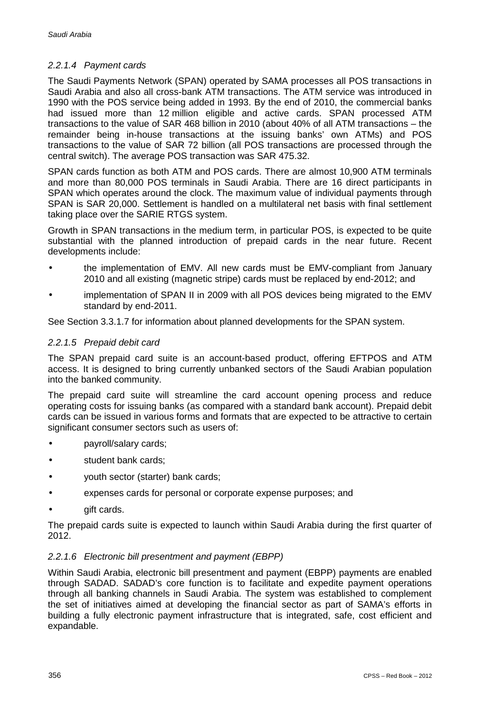#### *2.2.1.4 Payment cards*

The Saudi Payments Network (SPAN) operated by SAMA processes all POS transactions in Saudi Arabia and also all cross-bank ATM transactions. The ATM service was introduced in 1990 with the POS service being added in 1993. By the end of 2010, the commercial banks had issued more than 12 million eligible and active cards. SPAN processed ATM transactions to the value of SAR 468 billion in 2010 (about 40% of all ATM transactions – the remainder being in-house transactions at the issuing banks' own ATMs) and POS transactions to the value of SAR 72 billion (all POS transactions are processed through the central switch). The average POS transaction was SAR 475.32.

SPAN cards function as both ATM and POS cards. There are almost 10,900 ATM terminals and more than 80,000 POS terminals in Saudi Arabia. There are 16 direct participants in SPAN which operates around the clock. The maximum value of individual payments through SPAN is SAR 20,000. Settlement is handled on a multilateral net basis with final settlement taking place over the SARIE RTGS system.

Growth in SPAN transactions in the medium term, in particular POS, is expected to be quite substantial with the planned introduction of prepaid cards in the near future. Recent developments include:

- the implementation of EMV. All new cards must be EMV-compliant from January 2010 and all existing (magnetic stripe) cards must be replaced by end-2012; and
- implementation of SPAN II in 2009 with all POS devices being migrated to the EMV standard by end-2011.

See Section 3.3.1.7 for information about planned developments for the SPAN system.

#### *2.2.1.5 Prepaid debit card*

The SPAN prepaid card suite is an account-based product, offering EFTPOS and ATM access. It is designed to bring currently unbanked sectors of the Saudi Arabian population into the banked community.

The prepaid card suite will streamline the card account opening process and reduce operating costs for issuing banks (as compared with a standard bank account). Prepaid debit cards can be issued in various forms and formats that are expected to be attractive to certain significant consumer sectors such as users of:

- payroll/salary cards;
- student bank cards;
- youth sector (starter) bank cards;
- expenses cards for personal or corporate expense purposes; and
- gift cards.  $\blacksquare$

The prepaid cards suite is expected to launch within Saudi Arabia during the first quarter of 2012.

#### *2.2.1.6 Electronic bill presentment and payment (EBPP)*

Within Saudi Arabia, electronic bill presentment and payment (EBPP) payments are enabled through SADAD. SADAD's core function is to facilitate and expedite payment operations through all banking channels in Saudi Arabia. The system was established to complement the set of initiatives aimed at developing the financial sector as part of SAMA's efforts in building a fully electronic payment infrastructure that is integrated, safe, cost efficient and expandable.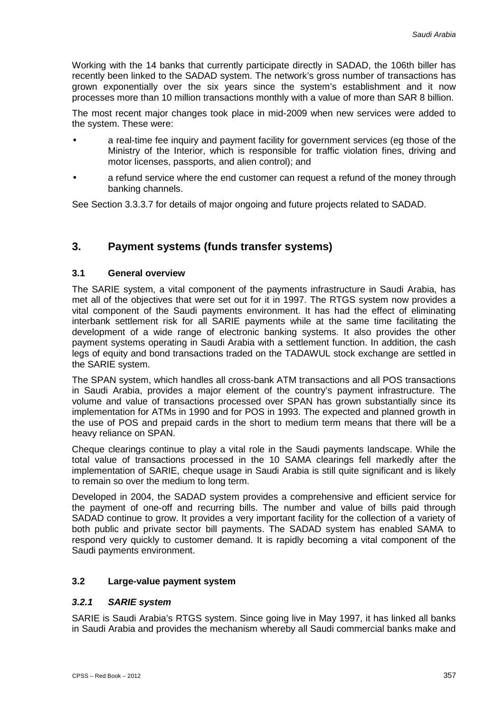Working with the 14 banks that currently participate directly in SADAD, the 106th biller has recently been linked to the SADAD system. The network's gross number of transactions has grown exponentially over the six years since the system's establishment and it now processes more than 10 million transactions monthly with a value of more than SAR 8 billion.

The most recent major changes took place in mid-2009 when new services were added to the system. These were:

- a real-time fee inquiry and payment facility for government services (eg those of the Ministry of the Interior, which is responsible for traffic violation fines, driving and motor licenses, passports, and alien control); and
- a refund service where the end customer can request a refund of the money through banking channels.

See Section 3.3.3.7 for details of major ongoing and future projects related to SADAD.

## **3. Payment systems (funds transfer systems)**

#### **3.1 General overview**

The SARIE system, a vital component of the payments infrastructure in Saudi Arabia, has met all of the objectives that were set out for it in 1997. The RTGS system now provides a vital component of the Saudi payments environment. It has had the effect of eliminating interbank settlement risk for all SARIE payments while at the same time facilitating the development of a wide range of electronic banking systems. It also provides the other payment systems operating in Saudi Arabia with a settlement function. In addition, the cash legs of equity and bond transactions traded on the TADAWUL stock exchange are settled in the SARIE system.

The SPAN system, which handles all cross-bank ATM transactions and all POS transactions in Saudi Arabia, provides a major element of the country's payment infrastructure. The volume and value of transactions processed over SPAN has grown substantially since its implementation for ATMs in 1990 and for POS in 1993. The expected and planned growth in the use of POS and prepaid cards in the short to medium term means that there will be a heavy reliance on SPAN.

Cheque clearings continue to play a vital role in the Saudi payments landscape. While the total value of transactions processed in the 10 SAMA clearings fell markedly after the implementation of SARIE, cheque usage in Saudi Arabia is still quite significant and is likely to remain so over the medium to long term.

Developed in 2004, the SADAD system provides a comprehensive and efficient service for the payment of one-off and recurring bills. The number and value of bills paid through SADAD continue to grow. It provides a very important facility for the collection of a variety of both public and private sector bill payments. The SADAD system has enabled SAMA to respond very quickly to customer demand. It is rapidly becoming a vital component of the Saudi payments environment.

## **3.2 Large-value payment system**

#### *3.2.1 SARIE system*

SARIE is Saudi Arabia's RTGS system. Since going live in May 1997, it has linked all banks in Saudi Arabia and provides the mechanism whereby all Saudi commercial banks make and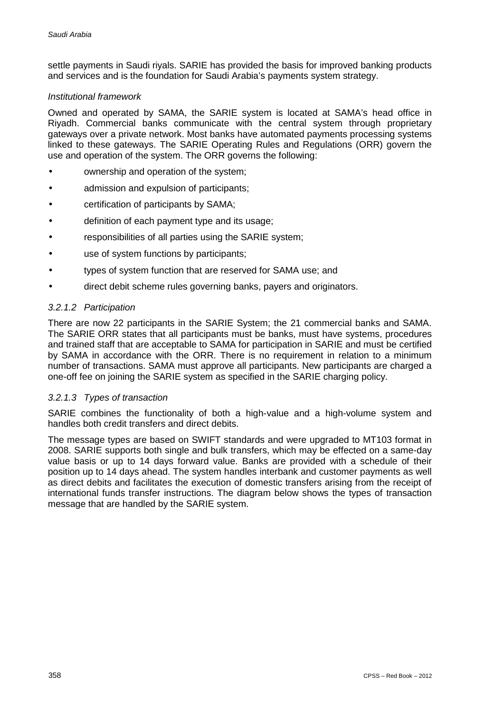settle payments in Saudi riyals. SARIE has provided the basis for improved banking products and services and is the foundation for Saudi Arabia's payments system strategy.

#### *Institutional framework*

Owned and operated by SAMA, the SARIE system is located at SAMA's head office in Riyadh. Commercial banks communicate with the central system through proprietary gateways over a private network. Most banks have automated payments processing systems linked to these gateways. The SARIE Operating Rules and Regulations (ORR) govern the use and operation of the system. The ORR governs the following:

- ownership and operation of the system; J.
- admission and expulsion of participants;
- certification of participants by SAMA;
- definition of each payment type and its usage;
- responsibilities of all parties using the SARIE system;
- use of system functions by participants;
- types of system function that are reserved for SAMA use; and
- direct debit scheme rules governing banks, payers and originators.

#### *3.2.1.2 Participation*

There are now 22 participants in the SARIE System; the 21 commercial banks and SAMA. The SARIE ORR states that all participants must be banks, must have systems, procedures and trained staff that are acceptable to SAMA for participation in SARIE and must be certified by SAMA in accordance with the ORR. There is no requirement in relation to a minimum number of transactions. SAMA must approve all participants. New participants are charged a one-off fee on joining the SARIE system as specified in the SARIE charging policy.

#### *3.2.1.3 Types of transaction*

SARIE combines the functionality of both a high-value and a high-volume system and handles both credit transfers and direct debits.

The message types are based on SWIFT standards and were upgraded to MT103 format in 2008. SARIE supports both single and bulk transfers, which may be effected on a same-day value basis or up to 14 days forward value. Banks are provided with a schedule of their position up to 14 days ahead. The system handles interbank and customer payments as well as direct debits and facilitates the execution of domestic transfers arising from the receipt of international funds transfer instructions. The diagram below shows the types of transaction message that are handled by the SARIE system.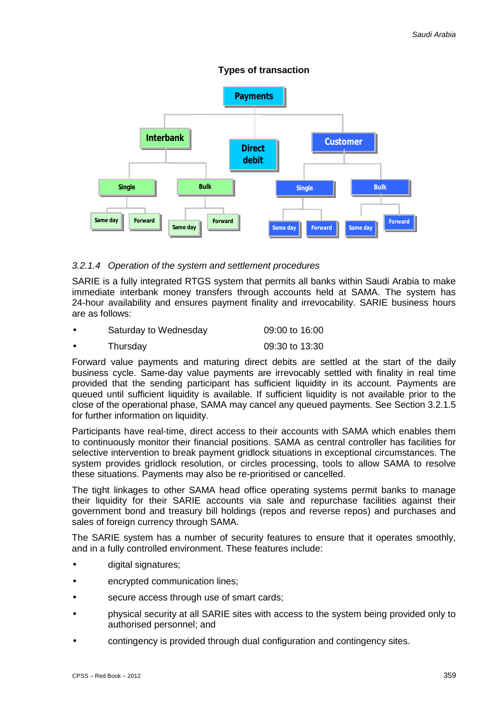#### **Types of transaction**



### *3.2.1.4 Operation of the system and settlement procedures*

SARIE is a fully integrated RTGS system that permits all banks within Saudi Arabia to make immediate interbank money transfers through accounts held at SAMA. The system has 24-hour availability and ensures payment finality and irrevocability. SARIE business hours are as follows:

| Saturday to Wednesday | 09:00 to 16:00 |
|-----------------------|----------------|
| Thursday              | 09:30 to 13:30 |

Forward value payments and maturing direct debits are settled at the start of the daily business cycle. Same-day value payments are irrevocably settled with finality in real time provided that the sending participant has sufficient liquidity in its account. Payments are queued until sufficient liquidity is available. If sufficient liquidity is not available prior to the close of the operational phase, SAMA may cancel any queued payments. See Section 3.2.1.5 for further information on liquidity.

Participants have real-time, direct access to their accounts with SAMA which enables them to continuously monitor their financial positions. SAMA as central controller has facilities for selective intervention to break payment gridlock situations in exceptional circumstances. The system provides gridlock resolution, or circles processing, tools to allow SAMA to resolve these situations. Payments may also be re-prioritised or cancelled.

The tight linkages to other SAMA head office operating systems permit banks to manage their liquidity for their SARIE accounts via sale and repurchase facilities against their government bond and treasury bill holdings (repos and reverse repos) and purchases and sales of foreign currency through SAMA.

The SARIE system has a number of security features to ensure that it operates smoothly, and in a fully controlled environment. These features include:

- digital signatures;
- encrypted communication lines;
- secure access through use of smart cards;
- physical security at all SARIE sites with access to the system being provided only to authorised personnel; and
- contingency is provided through dual configuration and contingency sites.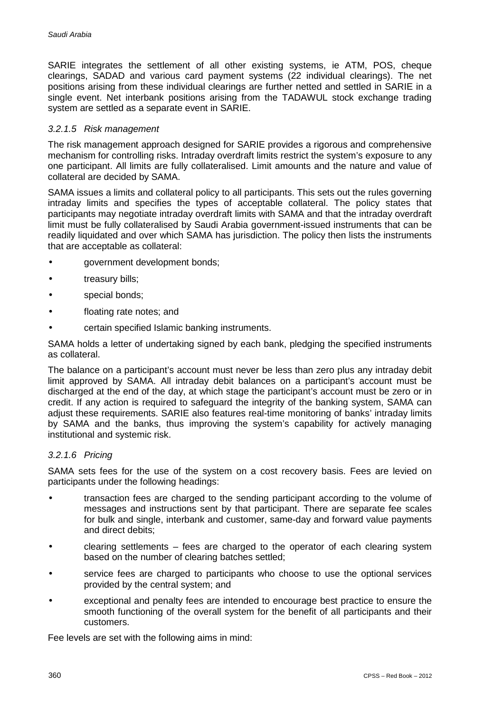SARIE integrates the settlement of all other existing systems, ie ATM, POS, cheque clearings, SADAD and various card payment systems (22 individual clearings). The net positions arising from these individual clearings are further netted and settled in SARIE in a single event. Net interbank positions arising from the TADAWUL stock exchange trading system are settled as a separate event in SARIE.

#### *3.2.1.5 Risk management*

The risk management approach designed for SARIE provides a rigorous and comprehensive mechanism for controlling risks. Intraday overdraft limits restrict the system's exposure to any one participant. All limits are fully collateralised. Limit amounts and the nature and value of collateral are decided by SAMA.

SAMA issues a limits and collateral policy to all participants. This sets out the rules governing intraday limits and specifies the types of acceptable collateral. The policy states that participants may negotiate intraday overdraft limits with SAMA and that the intraday overdraft limit must be fully collateralised by Saudi Arabia government-issued instruments that can be readily liquidated and over which SAMA has jurisdiction. The policy then lists the instruments that are acceptable as collateral:

- government development bonds;
- treasury bills;
- special bonds;
- floating rate notes; and
- certain specified Islamic banking instruments.

SAMA holds a letter of undertaking signed by each bank, pledging the specified instruments as collateral.

The balance on a participant's account must never be less than zero plus any intraday debit limit approved by SAMA. All intraday debit balances on a participant's account must be discharged at the end of the day, at which stage the participant's account must be zero or in credit. If any action is required to safeguard the integrity of the banking system, SAMA can adjust these requirements. SARIE also features real-time monitoring of banks' intraday limits by SAMA and the banks, thus improving the system's capability for actively managing institutional and systemic risk.

#### *3.2.1.6 Pricing*

SAMA sets fees for the use of the system on a cost recovery basis. Fees are levied on participants under the following headings:

- transaction fees are charged to the sending participant according to the volume of messages and instructions sent by that participant. There are separate fee scales for bulk and single, interbank and customer, same-day and forward value payments and direct debits;
- clearing settlements fees are charged to the operator of each clearing system based on the number of clearing batches settled;
- service fees are charged to participants who choose to use the optional services provided by the central system; and
- exceptional and penalty fees are intended to encourage best practice to ensure the smooth functioning of the overall system for the benefit of all participants and their customers.

Fee levels are set with the following aims in mind: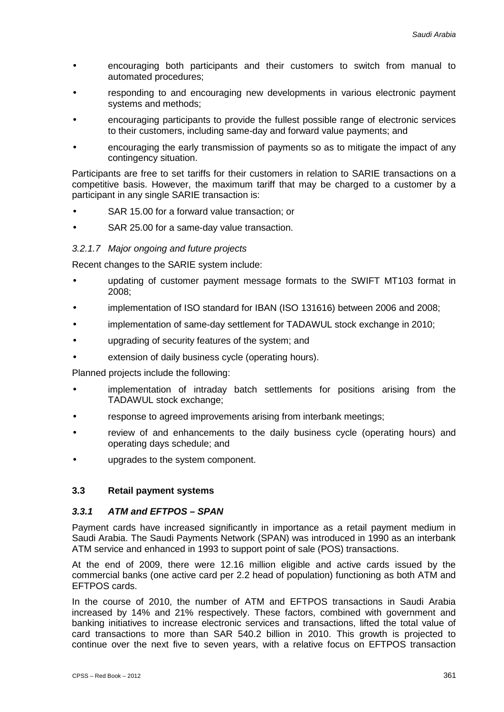- encouraging both participants and their customers to switch from manual to automated procedures;
- responding to and encouraging new developments in various electronic payment systems and methods;
- encouraging participants to provide the fullest possible range of electronic services to their customers, including same-day and forward value payments; and
- encouraging the early transmission of payments so as to mitigate the impact of any contingency situation.

Participants are free to set tariffs for their customers in relation to SARIE transactions on a competitive basis. However, the maximum tariff that may be charged to a customer by a participant in any single SARIE transaction is:

- SAR 15.00 for a forward value transaction; or
- SAR 25.00 for a same-day value transaction.

#### *3.2.1.7 Major ongoing and future projects*

Recent changes to the SARIE system include:

- updating of customer payment message formats to the SWIFT MT103 format in 2008;
- implementation of ISO standard for IBAN (ISO 131616) between 2006 and 2008;
- implementation of same-day settlement for TADAWUL stock exchange in 2010;
- upgrading of security features of the system; and
- extension of daily business cycle (operating hours).

Planned projects include the following:

- implementation of intraday batch settlements for positions arising from the TADAWUL stock exchange;
- response to agreed improvements arising from interbank meetings;
- review of and enhancements to the daily business cycle (operating hours) and operating days schedule; and
- upgrades to the system component.

#### **3.3 Retail payment systems**

#### *3.3.1 ATM and EFTPOS – SPAN*

Payment cards have increased significantly in importance as a retail payment medium in Saudi Arabia. The Saudi Payments Network (SPAN) was introduced in 1990 as an interbank ATM service and enhanced in 1993 to support point of sale (POS) transactions.

At the end of 2009, there were 12.16 million eligible and active cards issued by the commercial banks (one active card per 2.2 head of population) functioning as both ATM and EFTPOS cards.

In the course of 2010, the number of ATM and EFTPOS transactions in Saudi Arabia increased by 14% and 21% respectively. These factors, combined with government and banking initiatives to increase electronic services and transactions, lifted the total value of card transactions to more than SAR 540.2 billion in 2010. This growth is projected to continue over the next five to seven years, with a relative focus on EFTPOS transaction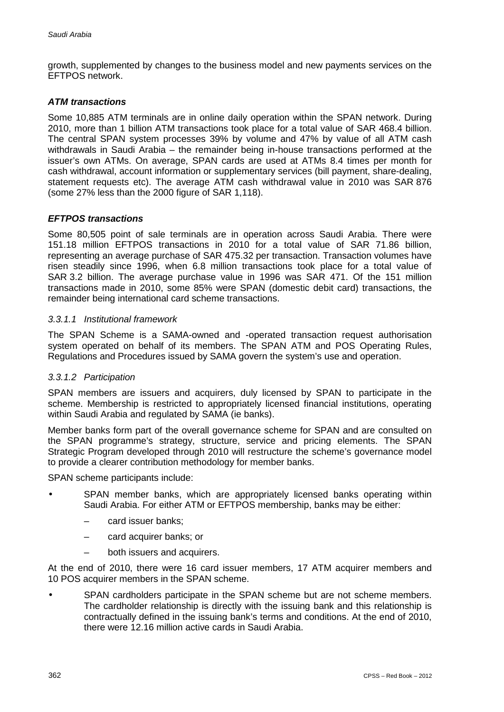growth, supplemented by changes to the business model and new payments services on the EFTPOS network.

#### *ATM transactions*

Some 10,885 ATM terminals are in online daily operation within the SPAN network. During 2010, more than 1 billion ATM transactions took place for a total value of SAR 468.4 billion. The central SPAN system processes 39% by volume and 47% by value of all ATM cash withdrawals in Saudi Arabia – the remainder being in-house transactions performed at the issuer's own ATMs. On average, SPAN cards are used at ATMs 8.4 times per month for cash withdrawal, account information or supplementary services (bill payment, share-dealing, statement requests etc). The average ATM cash withdrawal value in 2010 was SAR 876 (some 27% less than the 2000 figure of SAR 1,118).

#### *EFTPOS transactions*

Some 80,505 point of sale terminals are in operation across Saudi Arabia. There were 151.18 million EFTPOS transactions in 2010 for a total value of SAR 71.86 billion, representing an average purchase of SAR 475.32 per transaction. Transaction volumes have risen steadily since 1996, when 6.8 million transactions took place for a total value of SAR 3.2 billion. The average purchase value in 1996 was SAR 471. Of the 151 million transactions made in 2010, some 85% were SPAN (domestic debit card) transactions, the remainder being international card scheme transactions.

#### *3.3.1.1 Institutional framework*

The SPAN Scheme is a SAMA-owned and -operated transaction request authorisation system operated on behalf of its members. The SPAN ATM and POS Operating Rules, Regulations and Procedures issued by SAMA govern the system's use and operation.

#### *3.3.1.2 Participation*

SPAN members are issuers and acquirers, duly licensed by SPAN to participate in the scheme. Membership is restricted to appropriately licensed financial institutions, operating within Saudi Arabia and regulated by SAMA (ie banks).

Member banks form part of the overall governance scheme for SPAN and are consulted on the SPAN programme's strategy, structure, service and pricing elements. The SPAN Strategic Program developed through 2010 will restructure the scheme's governance model to provide a clearer contribution methodology for member banks.

SPAN scheme participants include:

- SPAN member banks, which are appropriately licensed banks operating within Saudi Arabia. For either ATM or EFTPOS membership, banks may be either:
	- card issuer banks;
	- card acquirer banks; or
	- both issuers and acquirers.

At the end of 2010, there were 16 card issuer members, 17 ATM acquirer members and 10 POS acquirer members in the SPAN scheme.

SPAN cardholders participate in the SPAN scheme but are not scheme members. The cardholder relationship is directly with the issuing bank and this relationship is contractually defined in the issuing bank's terms and conditions. At the end of 2010, there were 12.16 million active cards in Saudi Arabia.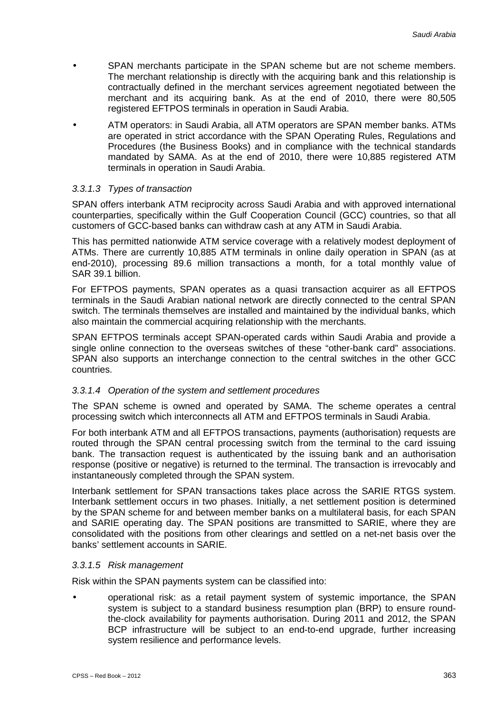- SPAN merchants participate in the SPAN scheme but are not scheme members. The merchant relationship is directly with the acquiring bank and this relationship is contractually defined in the merchant services agreement negotiated between the merchant and its acquiring bank. As at the end of 2010, there were 80,505 registered EFTPOS terminals in operation in Saudi Arabia.
- ATM operators: in Saudi Arabia, all ATM operators are SPAN member banks. ATMs are operated in strict accordance with the SPAN Operating Rules, Regulations and Procedures (the Business Books) and in compliance with the technical standards mandated by SAMA. As at the end of 2010, there were 10,885 registered ATM terminals in operation in Saudi Arabia.

#### *3.3.1.3 Types of transaction*

SPAN offers interbank ATM reciprocity across Saudi Arabia and with approved international counterparties, specifically within the Gulf Cooperation Council (GCC) countries, so that all customers of GCC-based banks can withdraw cash at any ATM in Saudi Arabia.

This has permitted nationwide ATM service coverage with a relatively modest deployment of ATMs. There are currently 10,885 ATM terminals in online daily operation in SPAN (as at end-2010), processing 89.6 million transactions a month, for a total monthly value of SAR 39.1 billion.

For EFTPOS payments, SPAN operates as a quasi transaction acquirer as all EFTPOS terminals in the Saudi Arabian national network are directly connected to the central SPAN switch. The terminals themselves are installed and maintained by the individual banks, which also maintain the commercial acquiring relationship with the merchants.

SPAN EFTPOS terminals accept SPAN-operated cards within Saudi Arabia and provide a single online connection to the overseas switches of these "other-bank card" associations. SPAN also supports an interchange connection to the central switches in the other GCC countries.

#### *3.3.1.4 Operation of the system and settlement procedures*

The SPAN scheme is owned and operated by SAMA. The scheme operates a central processing switch which interconnects all ATM and EFTPOS terminals in Saudi Arabia.

For both interbank ATM and all EFTPOS transactions, payments (authorisation) requests are routed through the SPAN central processing switch from the terminal to the card issuing bank. The transaction request is authenticated by the issuing bank and an authorisation response (positive or negative) is returned to the terminal. The transaction is irrevocably and instantaneously completed through the SPAN system.

Interbank settlement for SPAN transactions takes place across the SARIE RTGS system. Interbank settlement occurs in two phases. Initially, a net settlement position is determined by the SPAN scheme for and between member banks on a multilateral basis, for each SPAN and SARIE operating day. The SPAN positions are transmitted to SARIE, where they are consolidated with the positions from other clearings and settled on a net-net basis over the banks' settlement accounts in SARIE.

#### *3.3.1.5 Risk management*

Risk within the SPAN payments system can be classified into:

operational risk: as a retail payment system of systemic importance, the SPAN system is subject to a standard business resumption plan (BRP) to ensure roundthe-clock availability for payments authorisation. During 2011 and 2012, the SPAN BCP infrastructure will be subject to an end-to-end upgrade, further increasing system resilience and performance levels.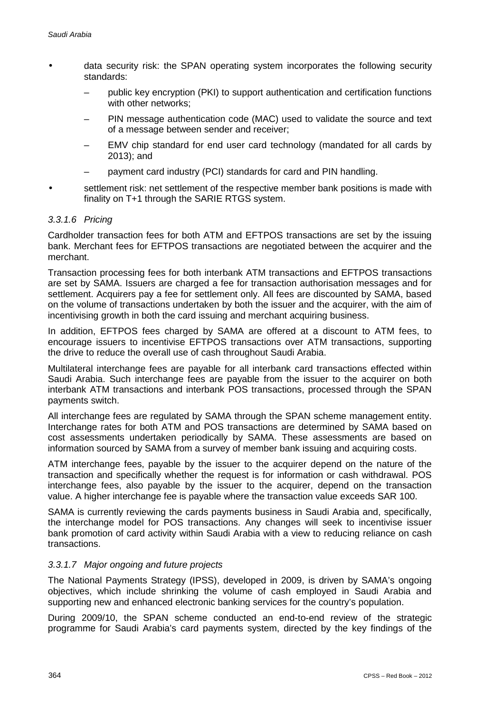- data security risk: the SPAN operating system incorporates the following security standards:
	- public key encryption (PKI) to support authentication and certification functions with other networks;
	- PIN message authentication code (MAC) used to validate the source and text of a message between sender and receiver;
	- EMV chip standard for end user card technology (mandated for all cards by 2013); and
	- payment card industry (PCI) standards for card and PIN handling.
- settlement risk: net settlement of the respective member bank positions is made with finality on T+1 through the SARIE RTGS system.

#### *3.3.1.6 Pricing*

Cardholder transaction fees for both ATM and EFTPOS transactions are set by the issuing bank. Merchant fees for EFTPOS transactions are negotiated between the acquirer and the merchant.

Transaction processing fees for both interbank ATM transactions and EFTPOS transactions are set by SAMA. Issuers are charged a fee for transaction authorisation messages and for settlement. Acquirers pay a fee for settlement only. All fees are discounted by SAMA, based on the volume of transactions undertaken by both the issuer and the acquirer, with the aim of incentivising growth in both the card issuing and merchant acquiring business.

In addition, EFTPOS fees charged by SAMA are offered at a discount to ATM fees, to encourage issuers to incentivise EFTPOS transactions over ATM transactions, supporting the drive to reduce the overall use of cash throughout Saudi Arabia.

Multilateral interchange fees are payable for all interbank card transactions effected within Saudi Arabia. Such interchange fees are payable from the issuer to the acquirer on both interbank ATM transactions and interbank POS transactions, processed through the SPAN payments switch.

All interchange fees are regulated by SAMA through the SPAN scheme management entity. Interchange rates for both ATM and POS transactions are determined by SAMA based on cost assessments undertaken periodically by SAMA. These assessments are based on information sourced by SAMA from a survey of member bank issuing and acquiring costs.

ATM interchange fees, payable by the issuer to the acquirer depend on the nature of the transaction and specifically whether the request is for information or cash withdrawal. POS interchange fees, also payable by the issuer to the acquirer, depend on the transaction value. A higher interchange fee is payable where the transaction value exceeds SAR 100.

SAMA is currently reviewing the cards payments business in Saudi Arabia and, specifically, the interchange model for POS transactions. Any changes will seek to incentivise issuer bank promotion of card activity within Saudi Arabia with a view to reducing reliance on cash transactions.

#### *3.3.1.7 Major ongoing and future projects*

The National Payments Strategy (IPSS), developed in 2009, is driven by SAMA's ongoing objectives, which include shrinking the volume of cash employed in Saudi Arabia and supporting new and enhanced electronic banking services for the country's population.

During 2009/10, the SPAN scheme conducted an end-to-end review of the strategic programme for Saudi Arabia's card payments system, directed by the key findings of the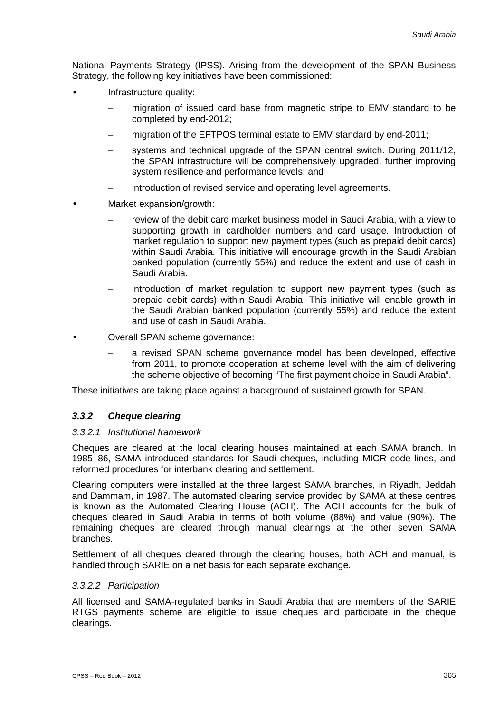National Payments Strategy (IPSS). Arising from the development of the SPAN Business Strategy, the following key initiatives have been commissioned:

- Infrastructure quality:
	- migration of issued card base from magnetic stripe to EMV standard to be completed by end-2012;
	- migration of the EFTPOS terminal estate to EMV standard by end-2011;
	- systems and technical upgrade of the SPAN central switch. During 2011/12, the SPAN infrastructure will be comprehensively upgraded, further improving system resilience and performance levels; and
	- introduction of revised service and operating level agreements.
	- Market expansion/growth:
		- review of the debit card market business model in Saudi Arabia, with a view to supporting growth in cardholder numbers and card usage. Introduction of market regulation to support new payment types (such as prepaid debit cards) within Saudi Arabia. This initiative will encourage growth in the Saudi Arabian banked population (currently 55%) and reduce the extent and use of cash in Saudi Arabia.
		- introduction of market regulation to support new payment types (such as prepaid debit cards) within Saudi Arabia. This initiative will enable growth in the Saudi Arabian banked population (currently 55%) and reduce the extent and use of cash in Saudi Arabia.
		- Overall SPAN scheme governance:
			- a revised SPAN scheme governance model has been developed, effective from 2011, to promote cooperation at scheme level with the aim of delivering the scheme objective of becoming "The first payment choice in Saudi Arabia".

These initiatives are taking place against a background of sustained growth for SPAN.

#### *3.3.2 Cheque clearing*

#### *3.3.2.1 Institutional framework*

Cheques are cleared at the local clearing houses maintained at each SAMA branch. In 1985–86, SAMA introduced standards for Saudi cheques, including MICR code lines, and reformed procedures for interbank clearing and settlement.

Clearing computers were installed at the three largest SAMA branches, in Riyadh, Jeddah and Dammam, in 1987. The automated clearing service provided by SAMA at these centres is known as the Automated Clearing House (ACH). The ACH accounts for the bulk of cheques cleared in Saudi Arabia in terms of both volume (88%) and value (90%). The remaining cheques are cleared through manual clearings at the other seven SAMA branches.

Settlement of all cheques cleared through the clearing houses, both ACH and manual, is handled through SARIE on a net basis for each separate exchange.

#### *3.3.2.2 Participation*

All licensed and SAMA-regulated banks in Saudi Arabia that are members of the SARIE RTGS payments scheme are eligible to issue cheques and participate in the cheque clearings.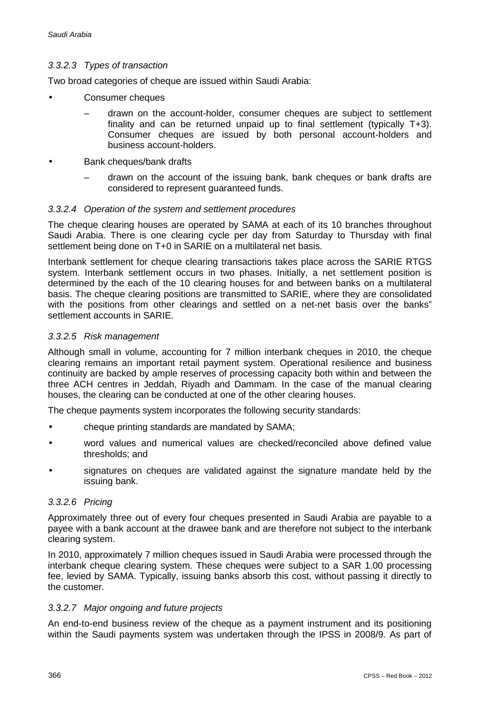#### *3.3.2.3 Types of transaction*

Two broad categories of cheque are issued within Saudi Arabia:

- Consumer cheques
	- drawn on the account-holder, consumer cheques are subject to settlement finality and can be returned unpaid up to final settlement (typically T+3). Consumer cheques are issued by both personal account-holders and business account-holders.
	- Bank cheques/bank drafts
	- drawn on the account of the issuing bank, bank cheques or bank drafts are considered to represent guaranteed funds.

#### *3.3.2.4 Operation of the system and settlement procedures*

The cheque clearing houses are operated by SAMA at each of its 10 branches throughout Saudi Arabia. There is one clearing cycle per day from Saturday to Thursday with final settlement being done on T+0 in SARIE on a multilateral net basis.

Interbank settlement for cheque clearing transactions takes place across the SARIE RTGS system. Interbank settlement occurs in two phases. Initially, a net settlement position is determined by the each of the 10 clearing houses for and between banks on a multilateral basis. The cheque clearing positions are transmitted to SARIE, where they are consolidated with the positions from other clearings and settled on a net-net basis over the banks" settlement accounts in SARIE.

#### *3.3.2.5 Risk management*

Although small in volume, accounting for 7 million interbank cheques in 2010, the cheque clearing remains an important retail payment system. Operational resilience and business continuity are backed by ample reserves of processing capacity both within and between the three ACH centres in Jeddah, Riyadh and Dammam. In the case of the manual clearing houses, the clearing can be conducted at one of the other clearing houses.

The cheque payments system incorporates the following security standards:

- cheque printing standards are mandated by SAMA;
- word values and numerical values are checked/reconciled above defined value thresholds; and
- signatures on cheques are validated against the signature mandate held by the issuing bank.

#### *3.3.2.6 Pricing*

Approximately three out of every four cheques presented in Saudi Arabia are payable to a payee with a bank account at the drawee bank and are therefore not subject to the interbank clearing system.

In 2010, approximately 7 million cheques issued in Saudi Arabia were processed through the interbank cheque clearing system. These cheques were subject to a SAR 1.00 processing fee, levied by SAMA. Typically, issuing banks absorb this cost, without passing it directly to the customer.

#### *3.3.2.7 Major ongoing and future projects*

An end-to-end business review of the cheque as a payment instrument and its positioning within the Saudi payments system was undertaken through the IPSS in 2008/9. As part of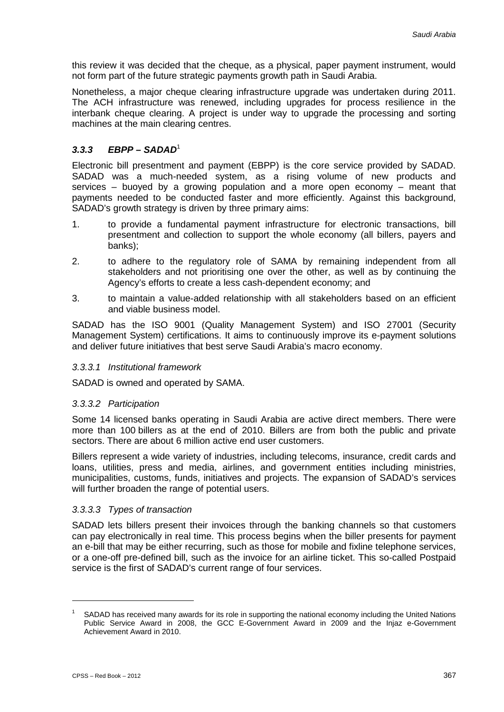this review it was decided that the cheque, as a physical, paper payment instrument, would not form part of the future strategic payments growth path in Saudi Arabia.

Nonetheless, a major cheque clearing infrastructure upgrade was undertaken during 2011. The ACH infrastructure was renewed, including upgrades for process resilience in the interbank cheque clearing. A project is under way to upgrade the processing and sorting machines at the main clearing centres.

## *3.3.3 EBPP – SADAD*<sup>1</sup>

Electronic bill presentment and payment (EBPP) is the core service provided by SADAD. SADAD was a much-needed system, as a rising volume of new products and services – buoyed by a growing population and a more open economy – meant that payments needed to be conducted faster and more efficiently. Against this background, SADAD's growth strategy is driven by three primary aims:

- 1. to provide a fundamental payment infrastructure for electronic transactions, bill presentment and collection to support the whole economy (all billers, payers and banks);
- 2. to adhere to the regulatory role of SAMA by remaining independent from all stakeholders and not prioritising one over the other, as well as by continuing the Agency's efforts to create a less cash-dependent economy; and
- 3. to maintain a value-added relationship with all stakeholders based on an efficient and viable business model.

SADAD has the ISO 9001 (Quality Management System) and ISO 27001 (Security Management System) certifications. It aims to continuously improve its e-payment solutions and deliver future initiatives that best serve Saudi Arabia's macro economy.

#### *3.3.3.1 Institutional framework*

SADAD is owned and operated by SAMA.

#### *3.3.3.2 Participation*

Some 14 licensed banks operating in Saudi Arabia are active direct members. There were more than 100 billers as at the end of 2010. Billers are from both the public and private sectors. There are about 6 million active end user customers.

Billers represent a wide variety of industries, including telecoms, insurance, credit cards and loans, utilities, press and media, airlines, and government entities including ministries, municipalities, customs, funds, initiatives and projects. The expansion of SADAD's services will further broaden the range of potential users.

#### *3.3.3.3 Types of transaction*

SADAD lets billers present their invoices through the banking channels so that customers can pay electronically in real time. This process begins when the biller presents for payment an e-bill that may be either recurring, such as those for mobile and fixline telephone services, or a one-off pre-defined bill, such as the invoice for an airline ticket. This so-called Postpaid service is the first of SADAD's current range of four services.

-

SADAD has received many awards for its role in supporting the national economy including the United Nations Public Service Award in 2008, the GCC E-Government Award in 2009 and the Injaz e-Government Achievement Award in 2010.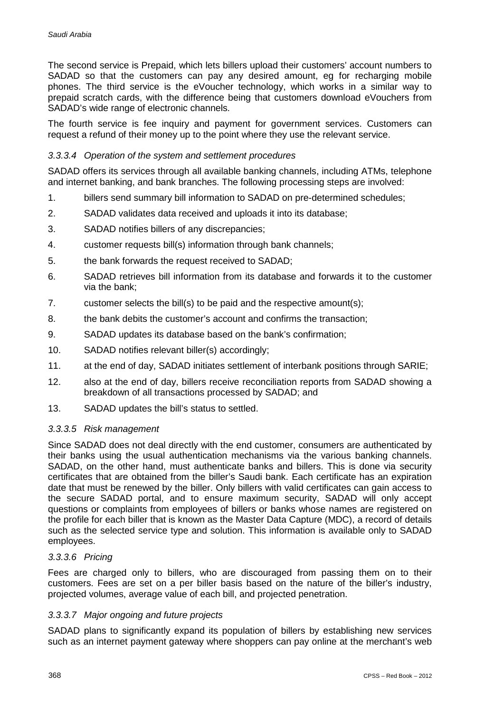The second service is Prepaid, which lets billers upload their customers' account numbers to SADAD so that the customers can pay any desired amount, eg for recharging mobile phones. The third service is the eVoucher technology, which works in a similar way to prepaid scratch cards, with the difference being that customers download eVouchers from SADAD's wide range of electronic channels.

The fourth service is fee inquiry and payment for government services. Customers can request a refund of their money up to the point where they use the relevant service.

#### *3.3.3.4 Operation of the system and settlement procedures*

SADAD offers its services through all available banking channels, including ATMs, telephone and internet banking, and bank branches. The following processing steps are involved:

- 1. billers send summary bill information to SADAD on pre-determined schedules;
- 2. SADAD validates data received and uploads it into its database;
- 3. SADAD notifies billers of any discrepancies;
- 4. customer requests bill(s) information through bank channels;
- 5. the bank forwards the request received to SADAD;
- 6. SADAD retrieves bill information from its database and forwards it to the customer via the bank;
- 7. customer selects the bill(s) to be paid and the respective amount(s);
- 8. the bank debits the customer's account and confirms the transaction;
- 9. SADAD updates its database based on the bank's confirmation;
- 10. SADAD notifies relevant biller(s) accordingly;
- 11. at the end of day, SADAD initiates settlement of interbank positions through SARIE;
- 12. also at the end of day, billers receive reconciliation reports from SADAD showing a breakdown of all transactions processed by SADAD; and
- 13. SADAD updates the bill's status to settled.

#### *3.3.3.5 Risk management*

Since SADAD does not deal directly with the end customer, consumers are authenticated by their banks using the usual authentication mechanisms via the various banking channels. SADAD, on the other hand, must authenticate banks and billers. This is done via security certificates that are obtained from the biller's Saudi bank. Each certificate has an expiration date that must be renewed by the biller. Only billers with valid certificates can gain access to the secure SADAD portal, and to ensure maximum security, SADAD will only accept questions or complaints from employees of billers or banks whose names are registered on the profile for each biller that is known as the Master Data Capture (MDC), a record of details such as the selected service type and solution. This information is available only to SADAD employees.

#### *3.3.3.6 Pricing*

Fees are charged only to billers, who are discouraged from passing them on to their customers. Fees are set on a per biller basis based on the nature of the biller's industry, projected volumes, average value of each bill, and projected penetration.

#### *3.3.3.7 Major ongoing and future projects*

SADAD plans to significantly expand its population of billers by establishing new services such as an internet payment gateway where shoppers can pay online at the merchant's web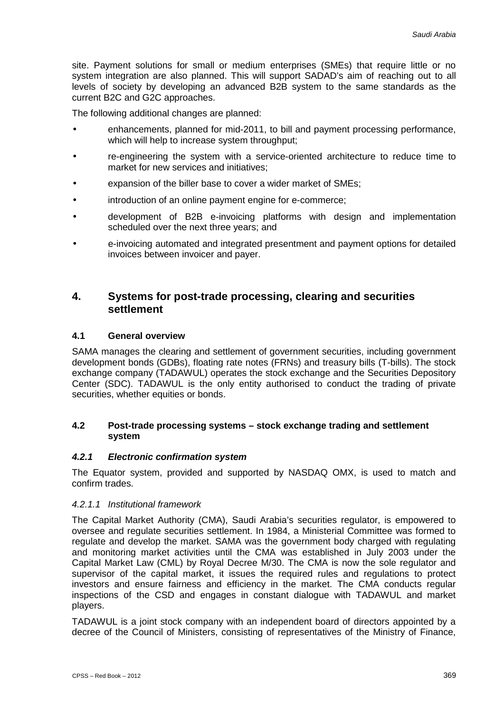site. Payment solutions for small or medium enterprises (SMEs) that require little or no system integration are also planned. This will support SADAD's aim of reaching out to all levels of society by developing an advanced B2B system to the same standards as the current B2C and G2C approaches.

The following additional changes are planned:

- enhancements, planned for mid-2011, to bill and payment processing performance, which will help to increase system throughput;
- re-engineering the system with a service-oriented architecture to reduce time to market for new services and initiatives;
- expansion of the biller base to cover a wider market of SMEs;
- introduction of an online payment engine for e-commerce;
- development of B2B e-invoicing platforms with design and implementation scheduled over the next three years; and
- e-invoicing automated and integrated presentment and payment options for detailed invoices between invoicer and payer.

## **4. Systems for post-trade processing, clearing and securities settlement**

#### **4.1 General overview**

SAMA manages the clearing and settlement of government securities, including government development bonds (GDBs), floating rate notes (FRNs) and treasury bills (T-bills). The stock exchange company (TADAWUL) operates the stock exchange and the Securities Depository Center (SDC). TADAWUL is the only entity authorised to conduct the trading of private securities, whether equities or bonds.

#### **4.2 Post-trade processing systems – stock exchange trading and settlement system**

#### *4.2.1 Electronic confirmation system*

The Equator system, provided and supported by NASDAQ OMX, is used to match and confirm trades.

#### *4.2.1.1 Institutional framework*

The Capital Market Authority (CMA), Saudi Arabia's securities regulator, is empowered to oversee and regulate securities settlement. In 1984, a Ministerial Committee was formed to regulate and develop the market. SAMA was the government body charged with regulating and monitoring market activities until the CMA was established in July 2003 under the Capital Market Law (CML) by Royal Decree M/30. The CMA is now the sole regulator and supervisor of the capital market, it issues the required rules and regulations to protect investors and ensure fairness and efficiency in the market. The CMA conducts regular inspections of the CSD and engages in constant dialogue with TADAWUL and market players.

TADAWUL is a joint stock company with an independent board of directors appointed by a decree of the Council of Ministers, consisting of representatives of the Ministry of Finance,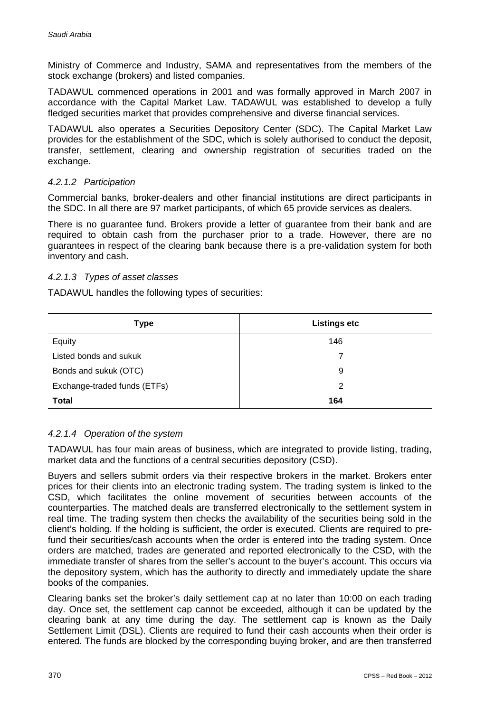Ministry of Commerce and Industry, SAMA and representatives from the members of the stock exchange (brokers) and listed companies.

TADAWUL commenced operations in 2001 and was formally approved in March 2007 in accordance with the Capital Market Law. TADAWUL was established to develop a fully fledged securities market that provides comprehensive and diverse financial services.

TADAWUL also operates a Securities Depository Center (SDC). The Capital Market Law provides for the establishment of the SDC, which is solely authorised to conduct the deposit, transfer, settlement, clearing and ownership registration of securities traded on the exchange.

#### *4.2.1.2 Participation*

Commercial banks, broker-dealers and other financial institutions are direct participants in the SDC. In all there are 97 market participants, of which 65 provide services as dealers.

There is no guarantee fund. Brokers provide a letter of guarantee from their bank and are required to obtain cash from the purchaser prior to a trade. However, there are no guarantees in respect of the clearing bank because there is a pre-validation system for both inventory and cash.

#### *4.2.1.3 Types of asset classes*

TADAWUL handles the following types of securities:

| <b>Type</b>                  | <b>Listings etc</b> |
|------------------------------|---------------------|
| Equity                       | 146                 |
| Listed bonds and sukuk       |                     |
| Bonds and sukuk (OTC)        | 9                   |
| Exchange-traded funds (ETFs) | 2                   |
| <b>Total</b>                 | 164                 |

#### *4.2.1.4 Operation of the system*

TADAWUL has four main areas of business, which are integrated to provide listing, trading, market data and the functions of a central securities depository (CSD).

Buyers and sellers submit orders via their respective brokers in the market. Brokers enter prices for their clients into an electronic trading system. The trading system is linked to the CSD, which facilitates the online movement of securities between accounts of the counterparties. The matched deals are transferred electronically to the settlement system in real time. The trading system then checks the availability of the securities being sold in the client's holding. If the holding is sufficient, the order is executed. Clients are required to prefund their securities/cash accounts when the order is entered into the trading system. Once orders are matched, trades are generated and reported electronically to the CSD, with the immediate transfer of shares from the seller's account to the buyer's account. This occurs via the depository system, which has the authority to directly and immediately update the share books of the companies.

Clearing banks set the broker's daily settlement cap at no later than 10:00 on each trading day. Once set, the settlement cap cannot be exceeded, although it can be updated by the clearing bank at any time during the day. The settlement cap is known as the Daily Settlement Limit (DSL). Clients are required to fund their cash accounts when their order is entered. The funds are blocked by the corresponding buying broker, and are then transferred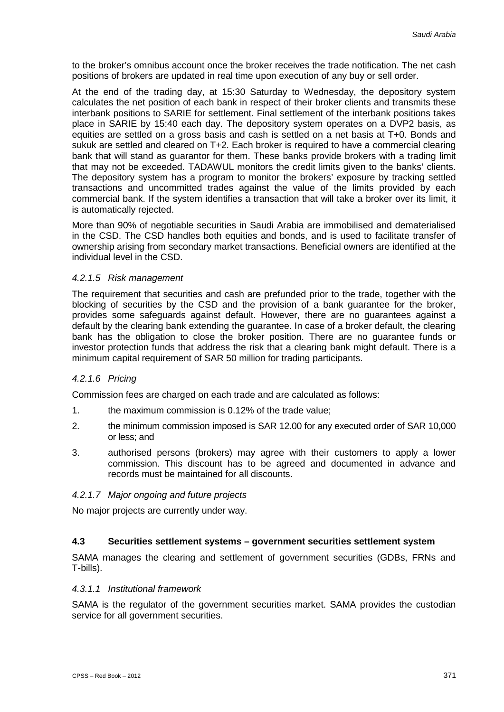to the broker's omnibus account once the broker receives the trade notification. The net cash positions of brokers are updated in real time upon execution of any buy or sell order.

At the end of the trading day, at 15:30 Saturday to Wednesday, the depository system calculates the net position of each bank in respect of their broker clients and transmits these interbank positions to SARIE for settlement. Final settlement of the interbank positions takes place in SARIE by 15:40 each day. The depository system operates on a DVP2 basis, as equities are settled on a gross basis and cash is settled on a net basis at T+0. Bonds and sukuk are settled and cleared on T+2. Each broker is required to have a commercial clearing bank that will stand as guarantor for them. These banks provide brokers with a trading limit that may not be exceeded. TADAWUL monitors the credit limits given to the banks' clients. The depository system has a program to monitor the brokers' exposure by tracking settled transactions and uncommitted trades against the value of the limits provided by each commercial bank. If the system identifies a transaction that will take a broker over its limit, it is automatically rejected.

More than 90% of negotiable securities in Saudi Arabia are immobilised and dematerialised in the CSD. The CSD handles both equities and bonds, and is used to facilitate transfer of ownership arising from secondary market transactions. Beneficial owners are identified at the individual level in the CSD.

#### *4.2.1.5 Risk management*

The requirement that securities and cash are prefunded prior to the trade, together with the blocking of securities by the CSD and the provision of a bank guarantee for the broker, provides some safeguards against default. However, there are no guarantees against a default by the clearing bank extending the guarantee. In case of a broker default, the clearing bank has the obligation to close the broker position. There are no guarantee funds or investor protection funds that address the risk that a clearing bank might default. There is a minimum capital requirement of SAR 50 million for trading participants.

#### *4.2.1.6 Pricing*

Commission fees are charged on each trade and are calculated as follows:

- 1. the maximum commission is 0.12% of the trade value;
- 2. the minimum commission imposed is SAR 12.00 for any executed order of SAR 10,000 or less; and
- 3. authorised persons (brokers) may agree with their customers to apply a lower commission. This discount has to be agreed and documented in advance and records must be maintained for all discounts.

#### *4.2.1.7 Major ongoing and future projects*

No major projects are currently under way.

#### **4.3 Securities settlement systems – government securities settlement system**

SAMA manages the clearing and settlement of government securities (GDBs, FRNs and T-bills).

#### *4.3.1.1 Institutional framework*

SAMA is the regulator of the government securities market. SAMA provides the custodian service for all government securities.